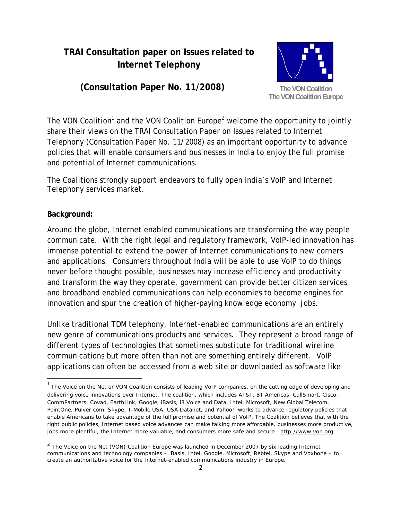# **TRAI Consultation paper on Issues related to Internet Telephony**

# **(Consultation Paper No. 11/2008)**



The VON Coalition<sup>1</sup> and the VON Coalition Europe<sup>2</sup> welcome the opportunity to jointly share their views on the TRAI Consultation Paper on Issues related to Internet Telephony (Consultation Paper No. 11/2008) as an important opportunity to advance policies that will enable consumers and businesses in India to enjoy the full promise and potential of Internet communications.

The Coalitions strongly support endeavors to fully open India's VoIP and Internet Telephony services market.

### **Background:**

Around the globe, Internet enabled communications are transforming the way people communicate. With the right legal and regulatory framework, VoIP-led innovation has immense potential to extend the power of Internet communications to new corners and applications. Consumers throughout India will be able to use VoIP to do things never before thought possible, businesses may increase efficiency and productivity and transform the way they operate, government can provide better citizen services and broadband enabled communications can help economies to become engines for innovation and spur the creation of higher-paying knowledge economy jobs.

Unlike traditional TDM telephony, Internet-enabled communications are an entirely new genre of communications products and services. They represent a broad range of different types of technologies that sometimes substitute for traditional wireline communications but more often than not are something entirely different. VoIP applications can often be accessed from a web site or downloaded as software like

 $1$  The Voice on the Net or VON Coalition consists of leading VoIP companies, on the cutting edge of developing and delivering voice innovations over Internet. The coalition, which includes AT&T, BT Americas, CallSmart, Cisco, CommPartners, Covad, EarthLink, Google, iBasis, i3 Voice and Data, Intel, Microsoft, New Global Telecom, PointOne, Pulver.com, Skype, T-Mobile USA, USA Datanet, and Yahoo! works to advance regulatory policies that enable Americans to take advantage of the full promise and potential of VoIP. The Coalition believes that with the right public policies, Internet based voice advances can make talking more affordable, businesses more productive, jobs more plentiful, the Internet more valuable, and consumers more safe and secure. http://www.von.org

<sup>&</sup>lt;sup>2</sup> The Voice on the Net (VON) Coalition Europe was launched in December 2007 by six leading Internet communications and technology companies – iBasis, Intel, Google, Microsoft, Rebtel, Skype and Voxbone – to create an authoritative voice for the Internet-enabled communications industry in Europe.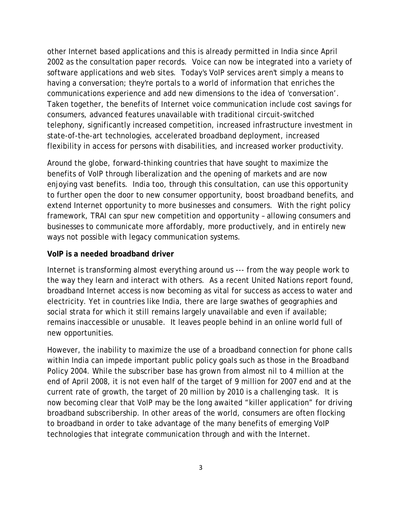other Internet based applications and this is already permitted in India since April 2002 as the consultation paper records. Voice can now be integrated into a variety of software applications and web sites. Today's VoIP services aren't simply a means to having a conversation; they're portals to a world of information that enriches the communications experience and add new dimensions to the idea of 'conversation'. Taken together, the benefits of Internet voice communication include cost savings for consumers, advanced features unavailable with traditional circuit-switched telephony, significantly increased competition, increased infrastructure investment in state-of-the-art technologies, accelerated broadband deployment, increased flexibility in access for persons with disabilities, and increased worker productivity.

Around the globe, forward-thinking countries that have sought to maximize the benefits of VoIP through liberalization and the opening of markets and are now enjoying vast benefits. India too, through this consultation, can use this opportunity to further open the door to new consumer opportunity, boost broadband benefits, and extend Internet opportunity to more businesses and consumers. With the right policy framework, TRAI can spur new competition and opportunity – allowing consumers and businesses to communicate more affordably, more productively, and in entirely new ways not possible with legacy communication systems.

## **VoIP is a needed broadband driver**

Internet is transforming almost everything around us --- from the way people work to the way they learn and interact with others. As a recent United Nations report found, broadband Internet access is now becoming as vital for success as access to water and electricity. Yet in countries like India, there are large swathes of geographies and social strata for which it still remains largely unavailable and even if available; remains inaccessible or unusable. It leaves people behind in an online world full of new opportunities.

However, the inability to maximize the use of a broadband connection for phone calls within India can impede important public policy goals such as those in the Broadband Policy 2004. While the subscriber base has grown from almost nil to 4 million at the end of April 2008, it is not even half of the target of 9 million for 2007 end and at the current rate of growth, the target of 20 million by 2010 is a challenging task. It is now becoming clear that VoIP may be the long awaited "killer application" for driving broadband subscribership. In other areas of the world, consumers are often flocking to broadband in order to take advantage of the many benefits of emerging VoIP technologies that integrate communication through and with the Internet.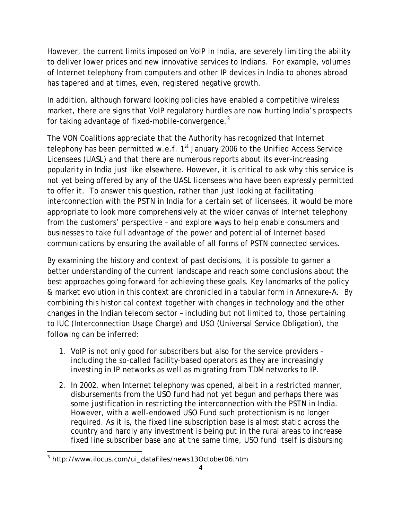However, the current limits imposed on VoIP in India, are severely limiting the ability to deliver lower prices and new innovative services to Indians. For example, volumes of Internet telephony from computers and other IP devices in India to phones abroad has tapered and at times, even, registered negative growth.

In addition, although forward looking policies have enabled a competitive wireless market, there are signs that VoIP regulatory hurdles are now hurting India's prospects for taking advantage of fixed-mobile-convergence.<sup>3</sup>

The VON Coalitions appreciate that the Authority has recognized that Internet telephony has been permitted w.e.f.  $1<sup>st</sup>$  January 2006 to the Unified Access Service Licensees (UASL) and that there are numerous reports about its ever-increasing popularity in India just like elsewhere. However, it is critical to ask why this service is not yet being offered by any of the UASL licensees who have been expressly permitted to offer it. To answer this question, rather than just looking at facilitating interconnection with the PSTN in India for a certain set of licensees, it would be more appropriate to look more comprehensively at the wider canvas of Internet telephony from the customers' perspective – and explore ways to help enable consumers and businesses to take full advantage of the power and potential of Internet based communications by ensuring the available of all forms of PSTN connected services.

By examining the history and context of past decisions, it is possible to garner a better understanding of the current landscape and reach some conclusions about the best approaches going forward for achieving these goals. Key landmarks of the policy & market evolution in this context are chronicled in a tabular form in Annexure-A. By combining this historical context together with changes in technology and the other changes in the Indian telecom sector – including but not limited to, those pertaining to IUC (Interconnection Usage Charge) and USO (Universal Service Obligation), the following can be inferred:

- 1. VoIP is not only good for subscribers but also for the service providers including the so-called facility-based operators as they are increasingly investing in IP networks as well as migrating from TDM networks to IP.
- 2. In 2002, when Internet telephony was opened, albeit in a restricted manner, disbursements from the USO fund had not yet begun and perhaps there was some justification in restricting the interconnection with the PSTN in India. However, with a well-endowed USO Fund such protectionism is no longer required. As it is, the fixed line subscription base is almost static across the country and hardly any investment is being put in the rural areas to increase fixed line subscriber base and at the same time, USO fund itself is disbursing

 3 http://www.ilocus.com/ui\_dataFiles/news13October06.htm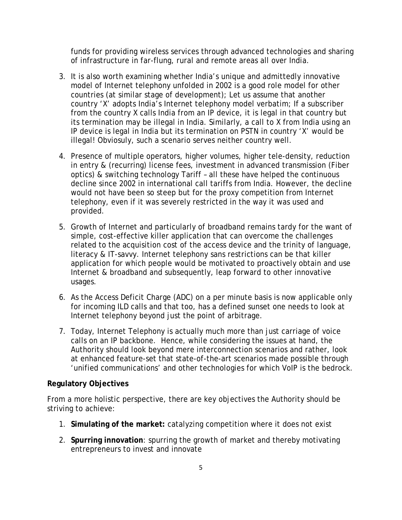funds for providing wireless services through advanced technologies and sharing of infrastructure in far-flung, rural and remote areas all over India.

- 3. It is also worth examining whether India's unique and admittedly innovative model of Internet telephony unfolded in 2002 is a good role model for other countries (at similar stage of development); Let us assume that another country 'X' adopts India's Internet telephony model verbatim; If a subscriber from the country X calls India from an IP device, it is legal in that country but its termination may be illegal in India. Similarly, a call to X from India using an IP device is legal in India but its termination on PSTN in country 'X' would be illegal! Obviosuly, such a scenario serves neither country well.
- 4. Presence of multiple operators, higher volumes, higher tele-density, reduction in entry & (recurring) license fees, investment in advanced transmission (Fiber optics) & switching technology Tariff – all these have helped the continuous decline since 2002 in international call tariffs from India. However, the decline would not have been so steep but for the proxy competition from Internet telephony, even if it was severely restricted in the way it was used and provided.
- 5. Growth of Internet and particularly of broadband remains tardy for the want of simple, cost-effective killer application that can overcome the challenges related to the acquisition cost of the access device and the trinity of language, literacy & IT-savvy. Internet telephony sans restrictions can be that killer application for which people would be motivated to proactively obtain and use Internet & broadband and subsequently, leap forward to other innovative usages.
- 6. As the Access Deficit Charge (ADC) on a per minute basis is now applicable only for incoming ILD calls and that too, has a defined sunset one needs to look at Internet telephony beyond just the point of arbitrage.
- 7. Today, Internet Telephony is actually much more than just carriage of voice calls on an IP backbone. Hence, while considering the issues at hand, the Authority should look beyond mere interconnection scenarios and rather, look at enhanced feature-set that state-of-the-art scenarios made possible through 'unified communications' and other technologies for which VoIP is the bedrock.

#### **Regulatory Objectives**

From a more holistic perspective, there are key objectives the Authority should be striving to achieve:

- 1. **Simulating of the market:** catalyzing competition where it does not exist
- 2. **Spurring innovation**: spurring the growth of market and thereby motivating entrepreneurs to invest and innovate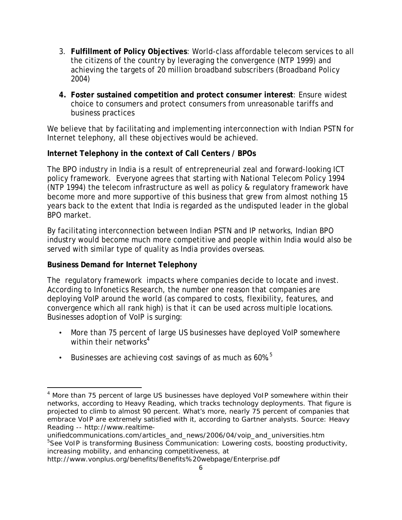- 3. **Fulfillment of Policy Objectives**: World-class affordable telecom services to all the citizens of the country by leveraging the convergence (NTP 1999) and achieving the targets of 20 million broadband subscribers (Broadband Policy 2004)
- **4. Foster sustained competition and protect consumer interest**: Ensure widest choice to consumers and protect consumers from unreasonable tariffs and business practices

We believe that by facilitating and implementing interconnection with Indian PSTN for Internet telephony, all these objectives would be achieved.

## **Internet Telephony in the context of Call Centers / BPOs**

The BPO industry in India is a result of entrepreneurial zeal and forward-looking ICT policy framework. Everyone agrees that starting with National Telecom Policy 1994 (NTP 1994) the telecom infrastructure as well as policy & regulatory framework have become more and more supportive of this business that grew from almost nothing 15 years back to the extent that India is regarded as the undisputed leader in the global BPO market.

By facilitating interconnection between Indian PSTN and IP networks, Indian BPO industry would become much more competitive and people within India would also be served with similar type of quality as India provides overseas.

### **Business Demand for Internet Telephony**

The regulatory framework impacts where companies decide to locate and invest. According to Infonetics Research, the number one reason that companies are deploying VoIP around the world (as compared to costs, flexibility, features, and convergence which all rank high) is that it can be used across multiple locations. Businesses adoption of VoIP is surging:

- More than 75 percent of large US businesses have deployed VoIP somewhere within their networks $4$
- Businesses are achieving cost savings of as much as  $60\%$ .<sup>5</sup>

<sup>&</sup>lt;sup>4</sup> More than 75 percent of large US businesses have deployed VoIP somewhere within their networks, according to Heavy Reading, which tracks technology deployments. That figure is projected to climb to almost 90 percent. What's more, nearly 75 percent of companies that embrace VoIP are extremely satisfied with it, according to Gartner analysts. Source: Heavy Reading -- http://www.realtime-

unifiedcommunications.com/articles\_and\_news/2006/04/voip\_and\_universities.htm <sup>5</sup>See VoIP is transforming Business Communication: Lowering costs, boosting productivity, increasing mobility, and enhancing competitiveness, at

http://www.vonplus.org/benefits/Benefits%20webpage/Enterprise.pdf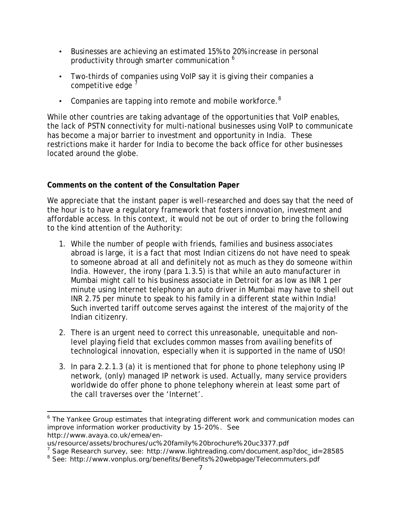- Businesses are achieving an estimated 15% to 20% increase in personal productivity through smarter communication <sup>6</sup>
- Two-thirds of companies using VoIP say it is giving their companies a competitive edge
- Companies are tapping into remote and mobile workforce. $8$

While other countries are taking advantage of the opportunities that VoIP enables, the lack of PSTN connectivity for multi-national businesses using VoIP to communicate has become a major barrier to investment and opportunity in India. These restrictions make it harder for India to become the back office for other businesses located around the globe.

# **Comments on the content of the Consultation Paper**

We appreciate that the instant paper is well-researched and does say that the need of the hour is to have a regulatory framework that fosters innovation, investment and affordable access. In this context, it would not be out of order to bring the following to the kind attention of the Authority:

- 1. While the number of people with friends, families and business associates abroad is large, it is a fact that most Indian citizens do not have need to speak to someone abroad at all and definitely not as much as they do someone within India. However, the irony (para 1.3.5) is that while an auto manufacturer in Mumbai might call to his business associate in Detroit for as low as INR 1 per minute using Internet telephony an auto driver in Mumbai may have to shell out INR 2.75 per minute to speak to his family in a different state within India! Such inverted tariff outcome serves against the interest of the majority of the Indian citizenry.
- 2. There is an urgent need to correct this unreasonable, unequitable and nonlevel playing field that excludes common masses from availing benefits of technological innovation, especially when it is supported in the name of USO!
- 3. In para 2.2.1.3 (a) it is mentioned that for phone to phone telephony using IP network, (only) managed IP network is used. Actually, many service providers worldwide do offer phone to phone telephony wherein at least some part of the call traverses over the 'Internet'.

<sup>&</sup>lt;sup>6</sup> The Yankee Group estimates that integrating different work and communication modes can improve information worker productivity by 15-20%. See http://www.avaya.co.uk/emea/en-

us/resource/assets/brochures/uc%20family%20brochure%20uc3377.pdf

<sup>&</sup>lt;sup>7</sup> Sage Research survey, see: http://www.lightreading.com/document.asp?doc\_id=28585

<sup>&</sup>lt;sup>8</sup> See: http://www.vonplus.org/benefits/Benefits%20webpage/Telecommuters.pdf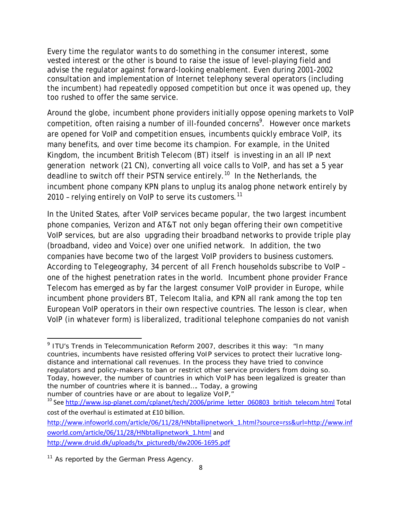Every time the regulator wants to do something in the consumer interest, some vested interest or the other is bound to raise the issue of level-playing field and advise the regulator against forward-looking enablement. Even during 2001-2002 consultation and implementation of Internet telephony several operators (including the incumbent) had repeatedly opposed competition but once it was opened up, they too rushed to offer the same service.

Around the globe, incumbent phone providers initially oppose opening markets to VoIP competition, often raising a number of ill-founded concerns<sup>9</sup>. However once markets are opened for VoIP and competition ensues, incumbents quickly embrace VoIP, its many benefits, and over time become its champion. For example, in the United Kingdom, the incumbent British Telecom (BT) itself is investing in an all IP next generation network (21 CN), converting all voice calls to VoIP, and has set a 5 year deadline to switch off their PSTN service entirely.<sup>10</sup> In the Netherlands, the incumbent phone company KPN plans to unplug its analog phone network entirely by 2010 - relying entirely on VoIP to serve its customers.<sup>11</sup>

In the United States, after VoIP services became popular, the two largest incumbent phone companies, Verizon and AT&T not only began offering their own competitive VoIP services, but are also upgrading their broadband networks to provide triple play (broadband, video and Voice) over one unified network. In addition, the two companies have become two of the largest VoIP providers to business customers. According to Telegeography, 34 percent of all French households subscribe to VoIP – one of the highest penetration rates in the world. Incumbent phone provider France Telecom has emerged as by far the largest consumer VoIP provider in Europe, while incumbent phone providers BT, Telecom Italia, and KPN all rank among the top ten European VoIP operators in their own respective countries. The lesson is clear, when VoIP (in whatever form) is liberalized, traditional telephone companies do not vanish

<sup>9</sup> ITU's Trends in Telecommunication Reform 2007, describes it this way: "*In many countries, incumbents have resisted offering VoIP services to protect their lucrative longdistance and international call revenues. In the process they have tried to convince regulators and policy-makers to ban or restrict other service providers from doing so. Today, however, the number of countries in which VoIP has been legalized is greater than the number of countries where it is banned…. Today, a growing* 

*number of countries have or are about to legalize VoIP,"* 

<sup>&</sup>lt;sup>10</sup> See http://www.isp-planet.com/cplanet/tech/2006/prime\_letter\_060803\_british\_telecom.html Total cost of the overhaul is estimated at £10 billion.

http://www.infoworld.com/article/06/11/28/HNbtallipnetwork\_1.html?source=rss&url=http://www.inf oworld.com/article/06/11/28/HNbtallipnetwork\_1.html and http://www.druid.dk/uploads/tx\_picturedb/dw2006‐1695.pdf

 $11$  As reported by the German Press Agency.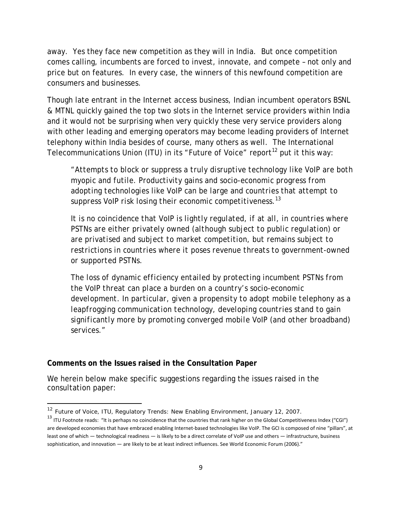away. Yes they face new competition as they will in India. But once competition comes calling, incumbents are forced to invest, innovate, and compete – not only and price but on features. In every case, the winners of this newfound competition are consumers and businesses.

Though late entrant in the Internet access business, Indian incumbent operators BSNL & MTNL quickly gained the top two slots in the Internet service providers within India and it would not be surprising when very quickly these very service providers along with other leading and emerging operators may become leading providers of Internet telephony within India besides of course, many others as well. The International Telecommunications Union (ITU) in its "Future of Voice" report<sup>12</sup> put it this way:

"*Attempts to block or suppress a truly disruptive technology like VoIP are both myopic and futile. Productivity gains and socio-economic progress from adopting technologies like VoIP can be large and countries that attempt to suppress VoIP risk losing their economic competitiveness.*<sup>13</sup>

*It is no coincidence that VoIP is lightly regulated, if at all, in countries where PSTNs are either privately owned (although subject to public regulation) or are privatised and subject to market competition, but remains subject to restrictions in countries where it poses revenue threats to government-owned or supported PSTNs.* 

*The loss of dynamic efficiency entailed by protecting incumbent PSTNs from the VoIP threat can place a burden on a country's socio-economic development. In particular, given a propensity to adopt mobile telephony as a leapfrogging communication technology, developing countries stand to gain significantly more by promoting converged mobile VoIP (and other broadband) services."* 

#### **Comments on the Issues raised in the Consultation Paper**

We herein below make specific suggestions regarding the issues raised in the consultation paper:

<sup>&</sup>lt;sup>12</sup> Future of Voice, ITU, Regulatory Trends: New Enabling Environment, January 12, 2007.

<sup>&</sup>lt;sup>13</sup> ITU Footnote reads: "It is perhaps no coincidence that the countries that rank higher on the Global Competitiveness Index ("CGI") are developed economies that have embraced enabling Internet‐based technologies like VoIP. The GCI is composed of nine "pillars", at least one of which — technological readiness — is likely to be a direct correlate of VoIP use and others — infrastructure, business sophistication, and innovation — are likely to be at least indirect influences. See World Economic Forum (2006)."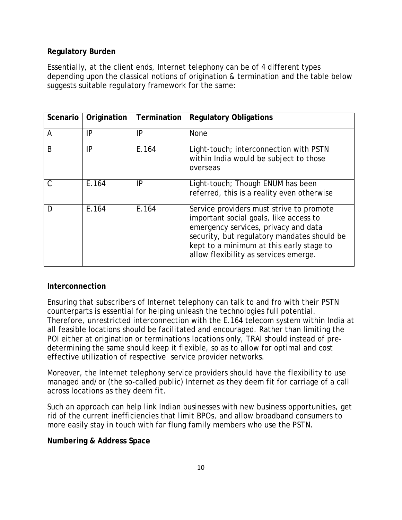## **Regulatory Burden**

Essentially, at the client ends, Internet telephony can be of 4 different types depending upon the classical notions of origination & termination and the table below suggests suitable regulatory framework for the same:

| Scenario | Origination | Termination | <b>Regulatory Obligations</b>                                                                                                                                                                                                                                  |
|----------|-------------|-------------|----------------------------------------------------------------------------------------------------------------------------------------------------------------------------------------------------------------------------------------------------------------|
| A        | IP          | IP          | <b>None</b>                                                                                                                                                                                                                                                    |
| B        | IP          | E.164       | Light-touch; interconnection with PSTN<br>within India would be subject to those<br>overseas                                                                                                                                                                   |
| C        | E.164       | IP          | Light-touch; Though ENUM has been<br>referred, this is a reality even otherwise                                                                                                                                                                                |
| D        | E.164       | E.164       | Service providers must strive to promote<br>important social goals, like access to<br>emergency services, privacy and data<br>security, but regulatory mandates should be<br>kept to a minimum at this early stage to<br>allow flexibility as services emerge. |

### **Interconnection**

Ensuring that subscribers of Internet telephony can talk to and fro with their PSTN counterparts is essential for helping unleash the technologies full potential. Therefore, unrestricted interconnection with the E.164 telecom system within India at all feasible locations should be facilitated and encouraged. Rather than limiting the POI either at origination or terminations locations only, TRAI should instead of predetermining the same should keep it flexible, so as to allow for optimal and cost effective utilization of respective service provider networks.

Moreover, the Internet telephony service providers should have the flexibility to use managed and/or (the so-called public) Internet as they deem fit for carriage of a call across locations as they deem fit.

Such an approach can help link Indian businesses with new business opportunities, get rid of the current inefficiencies that limit BPOs, and allow broadband consumers to more easily stay in touch with far flung family members who use the PSTN.

### **Numbering & Address Space**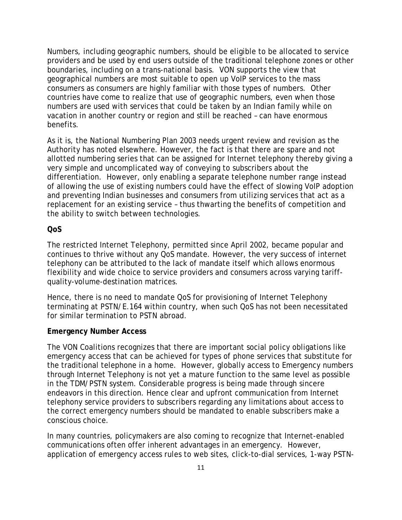Numbers, including geographic numbers, should be eligible to be allocated to service providers and be used by end users outside of the traditional telephone zones or other boundaries, including on a trans-national basis. VON supports the view that geographical numbers are most suitable to open up VoIP services to the mass consumers as consumers are highly familiar with those types of numbers. Other countries have come to realize that use of geographic numbers, even when those numbers are used with services that could be taken by an Indian family while on vacation in another country or region and still be reached – can have enormous benefits.

As it is, the National Numbering Plan 2003 needs urgent review and revision as the Authority has noted elsewhere. However, the fact is that there are spare and not allotted numbering series that can be assigned for Internet telephony thereby giving a very simple and uncomplicated way of conveying to subscribers about the differentiation. However, only enabling a separate telephone number range instead of allowing the use of existing numbers could have the effect of slowing VoIP adoption and preventing Indian businesses and consumers from utilizing services that act as a replacement for an existing service – thus thwarting the benefits of competition and the ability to switch between technologies.

#### **QoS**

The restricted Internet Telephony, permitted since April 2002, became popular and continues to thrive without any QoS mandate. However, the very success of internet telephony can be attributed to the lack of mandate itself which allows enormous flexibility and wide choice to service providers and consumers across varying tariffquality-volume-destination matrices.

Hence, there is no need to mandate QoS for provisioning of Internet Telephony terminating at PSTN/E.164 within country, when such QoS has not been necessitated for similar termination to PSTN abroad.

#### **Emergency Number Access**

The VON Coalitions recognizes that there are important social policy obligations like emergency access that can be achieved for types of phone services that substitute for the traditional telephone in a home. However, globally access to Emergency numbers through Internet Telephony is not yet a mature function to the same level as possible in the TDM/PSTN system. Considerable progress is being made through sincere endeavors in this direction. Hence clear and upfront communication from Internet telephony service providers to subscribers regarding any limitations about access to the correct emergency numbers should be mandated to enable subscribers make a conscious choice.

In many countries, policymakers are also coming to recognize that Internet-enabled communications often offer inherent advantages in an emergency. However, application of emergency access rules to web sites, click-to-dial services, 1-way PSTN-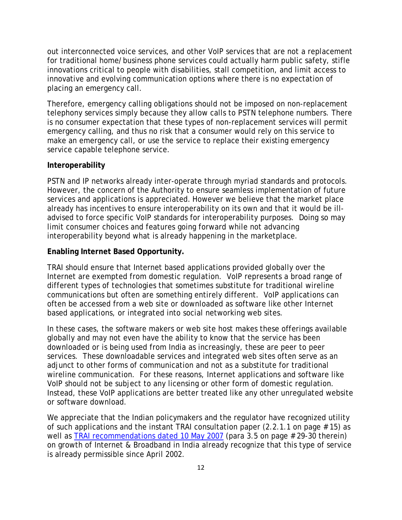out interconnected voice services, and other VoIP services that are not a replacement for traditional home/business phone services could actually harm public safety, stifle innovations critical to people with disabilities, stall competition, and limit access to innovative and evolving communication options where there is no expectation of placing an emergency call.

Therefore, emergency calling obligations should not be imposed on non-replacement telephony services simply because they allow calls to PSTN telephone numbers. There is no consumer expectation that these types of non-replacement services will permit emergency calling, and thus no risk that a consumer would rely on this service to make an emergency call, or use the service to replace their existing emergency service capable telephone service.

#### **Interoperability**

PSTN and IP networks already inter-operate through myriad standards and protocols. However, the concern of the Authority to ensure seamless implementation of future services and applications is appreciated. However we believe that the market place already has incentives to ensure interoperability on its own and that it would be illadvised to force specific VoIP standards for interoperability purposes. Doing so may limit consumer choices and features going forward while not advancing interoperability beyond what is already happening in the marketplace.

#### **Enabling Internet Based Opportunity.**

TRAI should ensure that Internet based applications provided globally over the Internet are exempted from domestic regulation. VoIP represents a broad range of different types of technologies that sometimes substitute for traditional wireline communications but often are something entirely different. VoIP applications can often be accessed from a web site or downloaded as software like other Internet based applications, or integrated into social networking web sites.

In these cases, the software makers or web site host makes these offerings available globally and may not even have the ability to know that the service has been downloaded or is being used from India as increasingly, these are peer to peer services. These downloadable services and integrated web sites often serve as an adjunct to other forms of communication and not as a substitute for traditional wireline communication. For these reasons, Internet applications and software like VoIP should not be subject to any licensing or other form of domestic regulation. Instead, these VoIP applications are better treated like any other unregulated website or software download.

We appreciate that the Indian policymakers and the regulator have recognized utility of such applications and the instant TRAI consultation paper  $(2.2.1.1$  on page  $# 15)$  as well as TRAI recommendations dated 10 May 2007 (para 3.5 on page # 29-30 therein) on growth of Internet & Broadband in India already recognize that this type of service is already permissible since April 2002.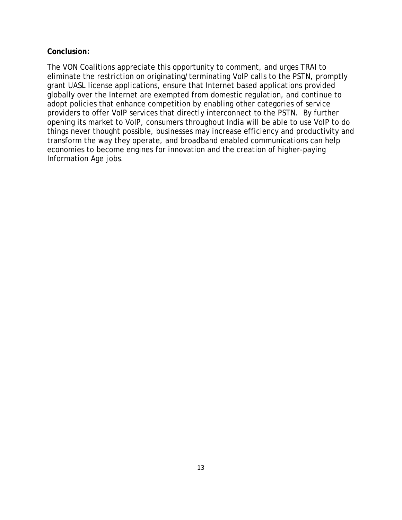#### **Conclusion:**

The VON Coalitions appreciate this opportunity to comment, and urges TRAI to eliminate the restriction on originating/terminating VoIP calls to the PSTN, promptly grant UASL license applications, ensure that Internet based applications provided globally over the Internet are exempted from domestic regulation, and continue to adopt policies that enhance competition by enabling other categories of service providers to offer VoIP services that directly interconnect to the PSTN. By further opening its market to VoIP, consumers throughout India will be able to use VoIP to do things never thought possible, businesses may increase efficiency and productivity and transform the way they operate, and broadband enabled communications can help economies to become engines for innovation and the creation of higher-paying Information Age jobs.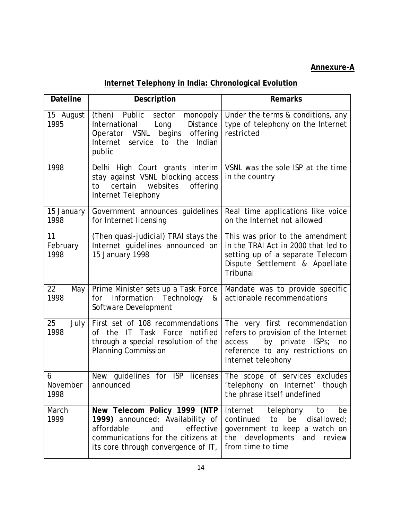# **Annexure-A**

# **Internet Telephony in India: Chronological Evolution**

| <b>Dateline</b>        | Description                                                                                                                                                                     | <b>Remarks</b>                                                                                                                                                     |
|------------------------|---------------------------------------------------------------------------------------------------------------------------------------------------------------------------------|--------------------------------------------------------------------------------------------------------------------------------------------------------------------|
| 15 August<br>1995      | (then) Public<br>sector<br>monopoly<br>Distance<br>International<br>Long<br>Operator VSNL begins<br>offering<br>service to the<br>Indian<br>Internet<br>public                  | Under the terms & conditions, any<br>type of telephony on the Internet<br>restricted                                                                               |
| 1998                   | Delhi High Court grants interim<br>stay against VSNL blocking access<br>certain<br>websites<br>offering<br>to<br>Internet Telephony                                             | VSNL was the sole ISP at the time<br>in the country                                                                                                                |
| 15 January<br>1998     | Government announces guidelines<br>for Internet licensing                                                                                                                       | Real time applications like voice<br>on the Internet not allowed                                                                                                   |
| 11<br>February<br>1998 | (Then quasi-judicial) TRAI stays the<br>Internet guidelines announced on<br>15 January 1998                                                                                     | This was prior to the amendment<br>in the TRAI Act in 2000 that led to<br>setting up of a separate Telecom<br>Dispute Settlement & Appellate<br>Tribunal           |
| 22<br>May<br>1998      | Prime Minister sets up a Task Force<br>Information<br>Technology<br>for<br>&<br>Software Development                                                                            | Mandate was to provide specific<br>actionable recommendations                                                                                                      |
| 25<br>July<br>1998     | First set of 108 recommendations<br>of the IT Task Force<br>notified<br>through a special resolution of the<br><b>Planning Commission</b>                                       | The very first recommendation<br>refers to provision of the Internet<br>by private ISPs;<br>access<br>no<br>reference to any restrictions on<br>Internet telephony |
| 6<br>November<br>1998  | guidelines for ISP<br>New<br>licenses<br>announced                                                                                                                              | The scope of services excludes<br>'telephony on Internet' though<br>the phrase itself undefined                                                                    |
| March<br>1999          | New Telecom Policy 1999 (NTP<br>1999) announced; Availability of<br>affordable<br>effective<br>and<br>communications for the citizens at<br>its core through convergence of IT, | telephony<br>Internet<br>to<br>be<br>continued<br>disallowed;<br>to<br>be<br>government to keep a watch on<br>the developments and review<br>from time to time     |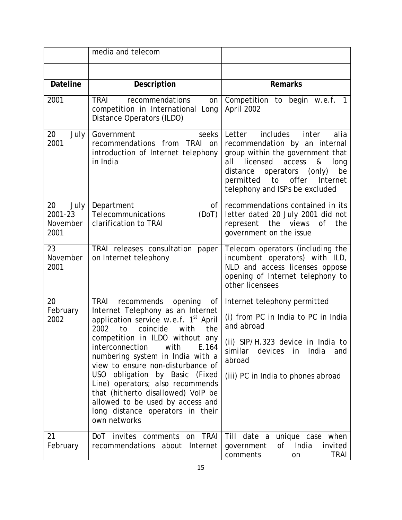|                                           | media and telecom                                                                                                                                                                                                                                                                                                                                                                                                                                                                                                                   |                                                                                                                                                                                                                                                                    |
|-------------------------------------------|-------------------------------------------------------------------------------------------------------------------------------------------------------------------------------------------------------------------------------------------------------------------------------------------------------------------------------------------------------------------------------------------------------------------------------------------------------------------------------------------------------------------------------------|--------------------------------------------------------------------------------------------------------------------------------------------------------------------------------------------------------------------------------------------------------------------|
|                                           |                                                                                                                                                                                                                                                                                                                                                                                                                                                                                                                                     |                                                                                                                                                                                                                                                                    |
| <b>Dateline</b>                           | Description                                                                                                                                                                                                                                                                                                                                                                                                                                                                                                                         | <b>Remarks</b>                                                                                                                                                                                                                                                     |
| 2001                                      | <b>TRAI</b><br>recommendations<br>on<br>competition in International Long<br>Distance Operators (ILDO)                                                                                                                                                                                                                                                                                                                                                                                                                              | Competition to begin w.e.f. 1<br>April 2002                                                                                                                                                                                                                        |
| 20<br>July<br>2001                        | Government<br>seeks<br>recommendations from<br>TRAI<br>on<br>introduction of Internet telephony<br>in India                                                                                                                                                                                                                                                                                                                                                                                                                         | includes<br>Letter<br>inter<br>alia<br>recommendation by an internal<br>group within the government that<br>licensed<br>access<br>&<br>all<br>long<br>operators (only)<br>be<br>distance<br>permitted<br>to<br>offer<br>Internet<br>telephony and ISPs be excluded |
| July<br>20<br>2001-23<br>November<br>2001 | Department<br>οf<br>Telecommunications<br>(DoT)<br>clarification to TRAI                                                                                                                                                                                                                                                                                                                                                                                                                                                            | recommendations contained in its<br>letter dated 20 July 2001 did not<br>represent<br>the views<br>0f<br>the<br>government on the issue                                                                                                                            |
| 23<br>November<br>2001                    | TRAI releases consultation paper<br>on Internet telephony                                                                                                                                                                                                                                                                                                                                                                                                                                                                           | Telecom operators (including the<br>incumbent operators) with ILD,<br>NLD and access licenses oppose<br>opening of Internet telephony to<br>other licensees                                                                                                        |
| 20<br>February<br>2002                    | <b>TRAI</b><br>recommends<br>opening<br>of<br>Internet Telephony as an Internet<br>application service w.e.f. 1 <sup>st</sup> April<br>coincide<br>2002<br>to<br>the<br>with<br>competition in ILDO without<br>any<br>interconnection<br>with<br>E.164<br>numbering system in India with a<br>view to ensure non-disturbance of<br>USO obligation by Basic (Fixed<br>Line) operators; also recommends<br>that (hitherto disallowed) VoIP be<br>allowed to be used by access and<br>long distance operators in their<br>own networks | Internet telephony permitted<br>(i) from PC in India to PC in India<br>and abroad<br>(ii) SIP/H.323 device in India to<br>devices<br>India<br>similar<br>in<br>and<br>abroad<br>(iii) PC in India to phones abroad                                                 |
| 21<br>February                            | DoT invites comments on TRAI<br>recommendations about Internet                                                                                                                                                                                                                                                                                                                                                                                                                                                                      | Till date a unique case when<br>India<br>invited<br>government<br>of<br>comments<br><b>TRAI</b><br>on                                                                                                                                                              |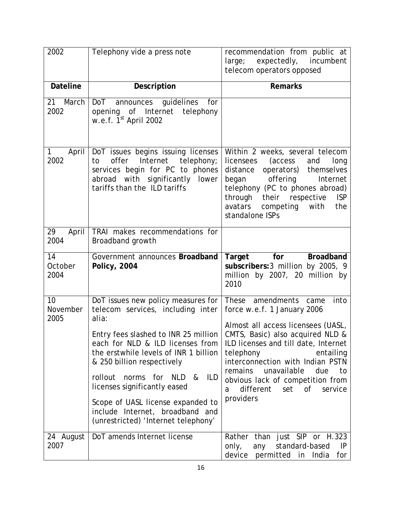| 2002                   | Telephony vide a press note                                                                                                                                                                                                                                                                                                                                                                                                                       | recommendation from public at<br>large; expectedly, incumbent<br>telecom operators opposed                                                                                                                                                                                                                                                                    |
|------------------------|---------------------------------------------------------------------------------------------------------------------------------------------------------------------------------------------------------------------------------------------------------------------------------------------------------------------------------------------------------------------------------------------------------------------------------------------------|---------------------------------------------------------------------------------------------------------------------------------------------------------------------------------------------------------------------------------------------------------------------------------------------------------------------------------------------------------------|
| <b>Dateline</b>        | Description                                                                                                                                                                                                                                                                                                                                                                                                                                       | <b>Remarks</b>                                                                                                                                                                                                                                                                                                                                                |
| March<br>21<br>2002    | guidelines<br><b>DoT</b><br>announces<br>for<br>opening of Internet<br>telephony<br>w.e.f. 1 <sup>st</sup> April 2002                                                                                                                                                                                                                                                                                                                             |                                                                                                                                                                                                                                                                                                                                                               |
| April<br>1<br>2002     | DoT issues begins issuing licenses<br>offer<br>Internet<br>telephony;<br>to<br>services begin for PC to phones<br>abroad with significantly lower<br>tariffs than the ILD tariffs                                                                                                                                                                                                                                                                 | Within 2 weeks, several telecom<br>licensees<br>(access<br>and<br>long<br>distance<br>operators)<br>themselves<br>offering<br>began<br>Internet<br>telephony (PC to phones abroad)<br>through their<br>respective<br><b>ISP</b><br>avatars<br>competing<br>with<br>the<br>standalone ISPs                                                                     |
| 29<br>April<br>2004    | TRAI makes recommendations for<br>Broadband growth                                                                                                                                                                                                                                                                                                                                                                                                |                                                                                                                                                                                                                                                                                                                                                               |
| 14<br>October<br>2004  | Government announces Broadband<br><b>Policy, 2004</b>                                                                                                                                                                                                                                                                                                                                                                                             | Target<br>for<br>Broadband<br>subscribers: 3 million by 2005, 9<br>million by 2007, 20 million by<br>2010                                                                                                                                                                                                                                                     |
| 10<br>November<br>2005 | DoT issues new policy measures for   These amendments<br>telecom services, including <i>inter</i><br>alia:<br>Entry fees slashed to INR 25 million<br>each for NLD & ILD licenses from<br>the erstwhile levels of INR 1 billion<br>& 250 billion respectively<br>rollout<br>norms for NLD &<br>ILD<br>licenses significantly eased<br>Scope of UASL license expanded to<br>include Internet, broadband and<br>(unrestricted) 'Internet telephony' | into<br>came<br>force w.e.f. 1 January 2006<br>Almost all access licensees (UASL,<br>CMTS, Basic) also acquired NLD &<br>ILD licenses and till date, Internet<br>telephony<br>entailing<br>interconnection with Indian PSTN<br>remains<br>unavailable<br>due<br>to<br>obvious lack of competition from<br>different<br>set<br>of<br>service<br>a<br>providers |
| 24 August<br>2007      | DoT amends Internet license                                                                                                                                                                                                                                                                                                                                                                                                                       | Rather than just SIP or H.323<br>standard-based<br>only,<br>any<br>IP<br>device permitted in<br>India<br>for                                                                                                                                                                                                                                                  |